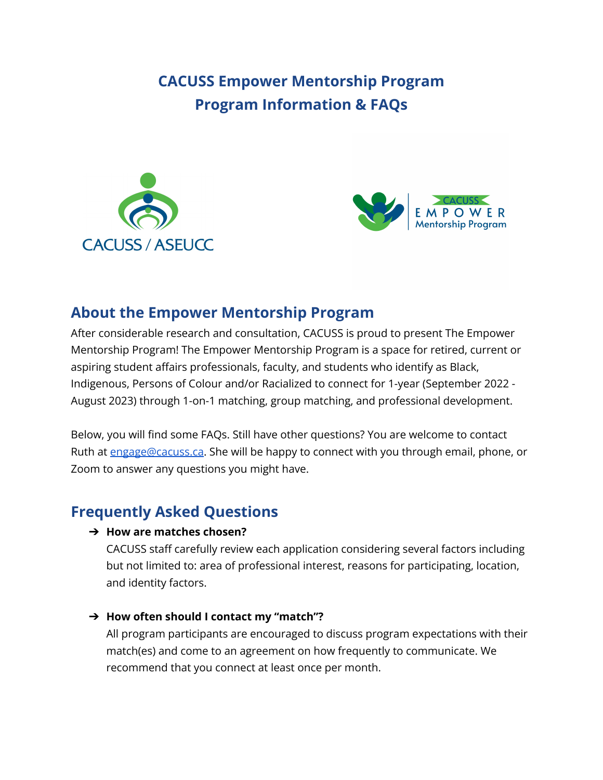# **CACUSS Empower Mentorship Program Program Information & FAQs**





## **About the Empower Mentorship Program**

After considerable research and consultation, CACUSS is proud to present The Empower Mentorship Program! The Empower Mentorship Program is a space for retired, current or aspiring student affairs professionals, faculty, and students who identify as Black, Indigenous, Persons of Colour and/or Racialized to connect for 1-year (September 2022 - August 2023) through 1-on-1 matching, group matching, and professional development.

Below, you will find some FAQs. Still have other questions? You are welcome to contact Ruth at [engage@cacuss.ca](mailto:engage@cacuss.ca). She will be happy to connect with you through email, phone, or Zoom to answer any questions you might have.

# **Frequently Asked Questions**

#### ➔ **How are matches chosen?**

CACUSS staff carefully review each application considering several factors including but not limited to: area of professional interest, reasons for participating, location, and identity factors.

#### ➔ **How often should I contact my "match"?**

All program participants are encouraged to discuss program expectations with their match(es) and come to an agreement on how frequently to communicate. We recommend that you connect at least once per month.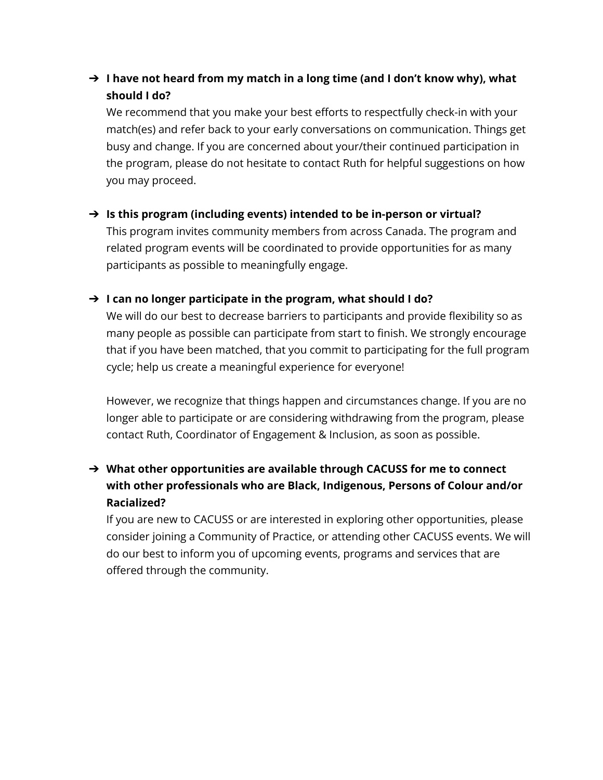### ➔ **I have not heard from my match in a long time (and I don't know why), what should I do?**

We recommend that you make your best efforts to respectfully check-in with your match(es) and refer back to your early conversations on communication. Things get busy and change. If you are concerned about your/their continued participation in the program, please do not hesitate to contact Ruth for helpful suggestions on how you may proceed.

#### ➔ **Is this program (including events) intended to be in-person or virtual?**

This program invites community members from across Canada. The program and related program events will be coordinated to provide opportunities for as many participants as possible to meaningfully engage.

#### ➔ **I can no longer participate in the program, what should I do?**

We will do our best to decrease barriers to participants and provide flexibility so as many people as possible can participate from start to finish. We strongly encourage that if you have been matched, that you commit to participating for the full program cycle; help us create a meaningful experience for everyone!

However, we recognize that things happen and circumstances change. If you are no longer able to participate or are considering withdrawing from the program, please contact Ruth, Coordinator of Engagement & Inclusion, as soon as possible.

### ➔ **What other opportunities are available through CACUSS for me to connect with other professionals who are Black, Indigenous, Persons of Colour and/or Racialized?**

If you are new to CACUSS or are interested in exploring other opportunities, please consider joining a Community of Practice, or attending other CACUSS events. We will do our best to inform you of upcoming events, programs and services that are offered through the community.